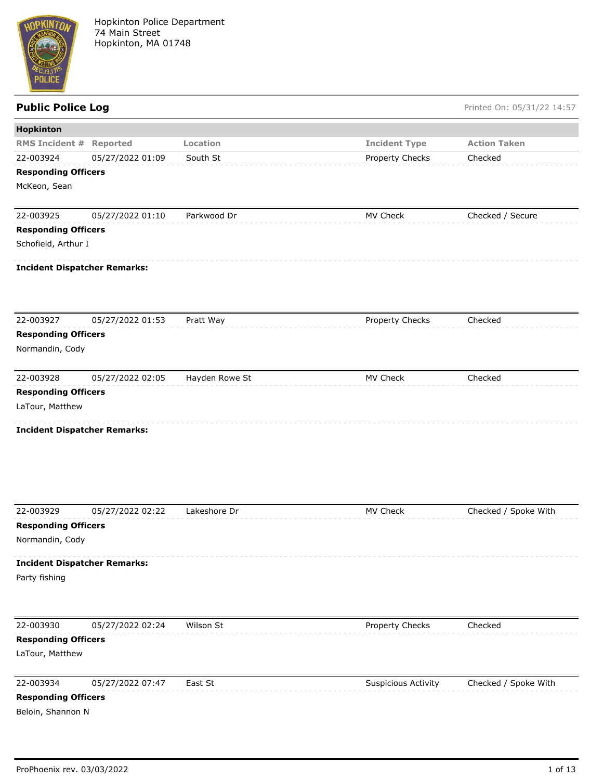

| Hopkinton                           |                  |                |                      |                      |
|-------------------------------------|------------------|----------------|----------------------|----------------------|
| <b>RMS Incident #</b>               | Reported         | Location       | <b>Incident Type</b> | <b>Action Taken</b>  |
| 22-003924                           | 05/27/2022 01:09 | South St       | Property Checks      | Checked              |
| <b>Responding Officers</b>          |                  |                |                      |                      |
| McKeon, Sean                        |                  |                |                      |                      |
|                                     |                  |                |                      |                      |
| 22-003925                           | 05/27/2022 01:10 | Parkwood Dr    | MV Check             | Checked / Secure     |
| <b>Responding Officers</b>          |                  |                |                      |                      |
| Schofield, Arthur I                 |                  |                |                      |                      |
| <b>Incident Dispatcher Remarks:</b> |                  |                |                      |                      |
|                                     |                  |                |                      |                      |
| 22-003927                           | 05/27/2022 01:53 | Pratt Way      | Property Checks      | Checked              |
| <b>Responding Officers</b>          |                  |                |                      |                      |
| Normandin, Cody                     |                  |                |                      |                      |
| 22-003928                           | 05/27/2022 02:05 | Hayden Rowe St | MV Check             | Checked              |
| <b>Responding Officers</b>          |                  |                |                      |                      |
| LaTour, Matthew                     |                  |                |                      |                      |
|                                     |                  |                |                      |                      |
| <b>Incident Dispatcher Remarks:</b> |                  |                |                      |                      |
|                                     |                  |                |                      |                      |
|                                     |                  |                |                      |                      |
|                                     |                  |                |                      |                      |
| 22-003929                           |                  |                |                      |                      |
| <b>Responding Officers</b>          | 05/27/2022 02:22 | Lakeshore Dr   | MV Check             | Checked / Spoke With |
| Normandin, Cody                     |                  |                |                      |                      |
|                                     |                  |                |                      |                      |
| <b>Incident Dispatcher Remarks:</b> |                  |                |                      |                      |
| Party fishing                       |                  |                |                      |                      |
|                                     |                  |                |                      |                      |
| 22-003930                           | 05/27/2022 02:24 | Wilson St      | Property Checks      | Checked              |
| <b>Responding Officers</b>          |                  |                |                      |                      |
| LaTour, Matthew                     |                  |                |                      |                      |
| 22-003934                           | 05/27/2022 07:47 | East St        | Suspicious Activity  | Checked / Spoke With |
| <b>Responding Officers</b>          |                  |                |                      |                      |
| Beloin, Shannon N                   |                  |                |                      |                      |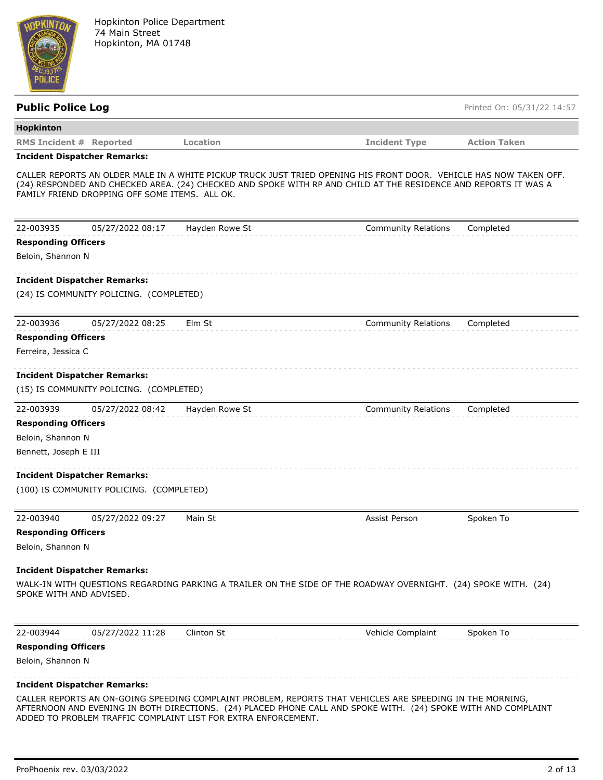

| <b>Public Police Log</b>                       |                |                                                                                                                                                                                                                                       | Printed On: 05/31/22 14:57 |
|------------------------------------------------|----------------|---------------------------------------------------------------------------------------------------------------------------------------------------------------------------------------------------------------------------------------|----------------------------|
| <b>Hopkinton</b>                               |                |                                                                                                                                                                                                                                       |                            |
| <b>RMS Incident # Reported</b>                 | Location       | <b>Incident Type</b>                                                                                                                                                                                                                  | <b>Action Taken</b>        |
| <b>Incident Dispatcher Remarks:</b>            |                |                                                                                                                                                                                                                                       |                            |
| FAMILY FRIEND DROPPING OFF SOME ITEMS. ALL OK. |                | CALLER REPORTS AN OLDER MALE IN A WHITE PICKUP TRUCK JUST TRIED OPENING HIS FRONT DOOR. VEHICLE HAS NOW TAKEN OFF.<br>(24) RESPONDED AND CHECKED AREA. (24) CHECKED AND SPOKE WITH RP AND CHILD AT THE RESIDENCE AND REPORTS IT WAS A |                            |
| 22-003935<br>05/27/2022 08:17                  | Hayden Rowe St | <b>Community Relations</b>                                                                                                                                                                                                            | Completed                  |
| <b>Responding Officers</b>                     |                |                                                                                                                                                                                                                                       |                            |
| Beloin, Shannon N                              |                |                                                                                                                                                                                                                                       |                            |
| <b>Incident Dispatcher Remarks:</b>            |                |                                                                                                                                                                                                                                       |                            |
| (24) IS COMMUNITY POLICING. (COMPLETED)        |                |                                                                                                                                                                                                                                       |                            |
| 22-003936<br>05/27/2022 08:25                  | Elm St         | <b>Community Relations</b>                                                                                                                                                                                                            | Completed                  |
| <b>Responding Officers</b>                     |                |                                                                                                                                                                                                                                       |                            |
| Ferreira, Jessica C                            |                |                                                                                                                                                                                                                                       |                            |
| <b>Incident Dispatcher Remarks:</b>            |                |                                                                                                                                                                                                                                       |                            |
| (15) IS COMMUNITY POLICING. (COMPLETED)        |                |                                                                                                                                                                                                                                       |                            |
| 22-003939<br>05/27/2022 08:42                  | Hayden Rowe St | <b>Community Relations</b>                                                                                                                                                                                                            | Completed                  |
| <b>Responding Officers</b>                     |                |                                                                                                                                                                                                                                       |                            |
| Beloin, Shannon N                              |                |                                                                                                                                                                                                                                       |                            |
| Bennett, Joseph E III                          |                |                                                                                                                                                                                                                                       |                            |
| <b>Incident Dispatcher Remarks:</b>            |                |                                                                                                                                                                                                                                       |                            |
| (100) IS COMMUNITY POLICING. (COMPLETED)       |                |                                                                                                                                                                                                                                       |                            |
| 22-003940<br>05/27/2022 09:27                  | Main St        | Assist Person                                                                                                                                                                                                                         | Spoken To                  |
| <b>Responding Officers</b>                     |                |                                                                                                                                                                                                                                       |                            |
| Beloin, Shannon N                              |                |                                                                                                                                                                                                                                       |                            |
| <b>Incident Dispatcher Remarks:</b>            |                |                                                                                                                                                                                                                                       |                            |
| SPOKE WITH AND ADVISED.                        |                | WALK-IN WITH QUESTIONS REGARDING PARKING A TRAILER ON THE SIDE OF THE ROADWAY OVERNIGHT. (24) SPOKE WITH. (24)                                                                                                                        |                            |
| 22-003944<br>05/27/2022 11:28                  | Clinton St     | Vehicle Complaint                                                                                                                                                                                                                     | Spoken To                  |
| <b>Responding Officers</b>                     |                |                                                                                                                                                                                                                                       |                            |
| Beloin, Shannon N                              |                |                                                                                                                                                                                                                                       |                            |
| <b>Incident Dispatcher Remarks:</b>            |                |                                                                                                                                                                                                                                       |                            |

CALLER REPORTS AN ON-GOING SPEEDING COMPLAINT PROBLEM, REPORTS THAT VEHICLES ARE SPEEDING IN THE MORNING, AFTERNOON AND EVENING IN BOTH DIRECTIONS. (24) PLACED PHONE CALL AND SPOKE WITH. (24) SPOKE WITH AND COMPLAINT ADDED TO PROBLEM TRAFFIC COMPLAINT LIST FOR EXTRA ENFORCEMENT.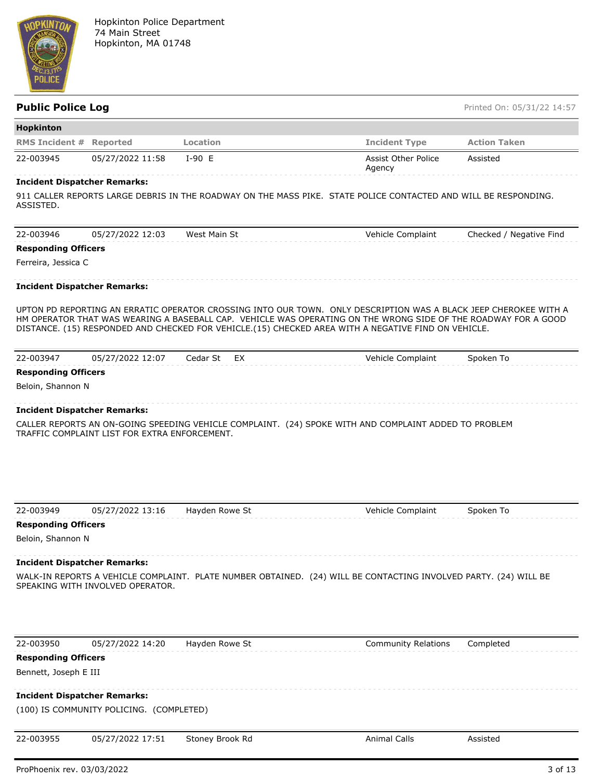

| <b>Hopkinton</b>                    |                  |          |                               |                     |
|-------------------------------------|------------------|----------|-------------------------------|---------------------|
| <b>RMS Incident # Reported</b>      |                  | Location | <b>Incident Type</b>          | <b>Action Taken</b> |
| 22-003945                           | 05/27/2022 11:58 | $I-90 E$ | Assist Other Police<br>Agency | Assisted            |
| <b>Incident Dispatcher Remarks:</b> |                  |          |                               |                     |

### **Incident Dispatcher Remarks:**

911 CALLER REPORTS LARGE DEBRIS IN THE ROADWAY ON THE MASS PIKE. STATE POLICE CONTACTED AND WILL BE RESPONDING. ASSISTED.

| 22-003946                  | 05/27/2022 12:03 | West Main St | Vehicle Complaint | Checked / Negative Find |
|----------------------------|------------------|--------------|-------------------|-------------------------|
| <b>Responding Officers</b> |                  |              |                   |                         |

Ferreira, Jessica C

# **Incident Dispatcher Remarks:**

UPTON PD REPORTING AN ERRATIC OPERATOR CROSSING INTO OUR TOWN. ONLY DESCRIPTION WAS A BLACK JEEP CHEROKEE WITH A HM OPERATOR THAT WAS WEARING A BASEBALL CAP. VEHICLE WAS OPERATING ON THE WRONG SIDE OF THE ROADWAY FOR A GOOD DISTANCE. (15) RESPONDED AND CHECKED FOR VEHICLE.(15) CHECKED AREA WITH A NEGATIVE FIND ON VEHICLE.

| 22-003947                  | 05/27/2022 12:07 | Cedar St EX | Vehicle Complaint | Spoken To |  |
|----------------------------|------------------|-------------|-------------------|-----------|--|
| <b>Responding Officers</b> |                  |             |                   |           |  |

# **Responding Officers**

Beloin, Shannon N

### **Incident Dispatcher Remarks:**

CALLER REPORTS AN ON-GOING SPEEDING VEHICLE COMPLAINT. (24) SPOKE WITH AND COMPLAINT ADDED TO PROBLEM TRAFFIC COMPLAINT LIST FOR EXTRA ENFORCEMENT.

| 22-003949                  |                                          |                 |                                                                                                                  |           |
|----------------------------|------------------------------------------|-----------------|------------------------------------------------------------------------------------------------------------------|-----------|
|                            | 05/27/2022 13:16                         | Hayden Rowe St  | Vehicle Complaint                                                                                                | Spoken To |
| <b>Responding Officers</b> |                                          |                 |                                                                                                                  |           |
| Beloin, Shannon N          |                                          |                 |                                                                                                                  |           |
|                            | <b>Incident Dispatcher Remarks:</b>      |                 |                                                                                                                  |           |
|                            | SPEAKING WITH INVOLVED OPERATOR.         |                 | WALK-IN REPORTS A VEHICLE COMPLAINT. PLATE NUMBER OBTAINED. (24) WILL BE CONTACTING INVOLVED PARTY. (24) WILL BE |           |
|                            |                                          |                 |                                                                                                                  |           |
|                            |                                          |                 |                                                                                                                  |           |
|                            |                                          |                 |                                                                                                                  |           |
| 22-003950                  | 05/27/2022 14:20                         | Hayden Rowe St  | <b>Community Relations</b>                                                                                       | Completed |
| <b>Responding Officers</b> |                                          |                 |                                                                                                                  |           |
| Bennett, Joseph E III      |                                          |                 |                                                                                                                  |           |
|                            | <b>Incident Dispatcher Remarks:</b>      |                 |                                                                                                                  |           |
|                            | (100) IS COMMUNITY POLICING. (COMPLETED) |                 |                                                                                                                  |           |
|                            |                                          |                 |                                                                                                                  |           |
| 22-003955                  | 05/27/2022 17:51                         | Stoney Brook Rd | <b>Animal Calls</b>                                                                                              | Assisted  |
|                            |                                          |                 |                                                                                                                  |           |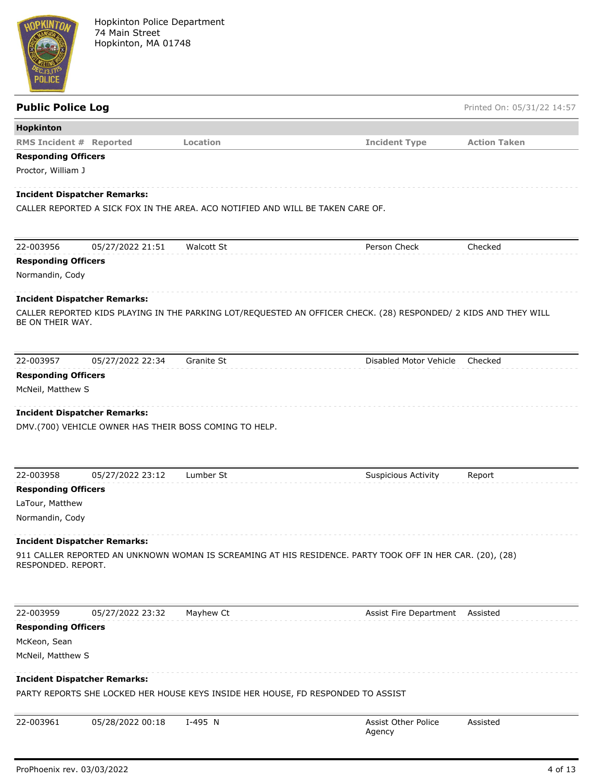

| <b>Public Police Log</b>                      |                                     |                                                                                  |                                                                                                                  | Printed On: 05/31/22 14:57 |
|-----------------------------------------------|-------------------------------------|----------------------------------------------------------------------------------|------------------------------------------------------------------------------------------------------------------|----------------------------|
| Hopkinton                                     |                                     |                                                                                  |                                                                                                                  |                            |
| <b>RMS Incident # Reported</b>                |                                     | Location                                                                         | <b>Incident Type</b>                                                                                             | <b>Action Taken</b>        |
| <b>Responding Officers</b>                    |                                     |                                                                                  |                                                                                                                  |                            |
| Proctor, William J                            |                                     |                                                                                  |                                                                                                                  |                            |
|                                               | <b>Incident Dispatcher Remarks:</b> |                                                                                  |                                                                                                                  |                            |
|                                               |                                     | CALLER REPORTED A SICK FOX IN THE AREA. ACO NOTIFIED AND WILL BE TAKEN CARE OF.  |                                                                                                                  |                            |
|                                               |                                     |                                                                                  |                                                                                                                  |                            |
|                                               |                                     |                                                                                  |                                                                                                                  |                            |
| 22-003956                                     | 05/27/2022 21:51                    | <b>Walcott St</b>                                                                | Person Check                                                                                                     | Checked                    |
| <b>Responding Officers</b><br>Normandin, Cody |                                     |                                                                                  |                                                                                                                  |                            |
|                                               |                                     |                                                                                  |                                                                                                                  |                            |
|                                               | <b>Incident Dispatcher Remarks:</b> |                                                                                  |                                                                                                                  |                            |
|                                               |                                     |                                                                                  | CALLER REPORTED KIDS PLAYING IN THE PARKING LOT/REQUESTED AN OFFICER CHECK. (28) RESPONDED/ 2 KIDS AND THEY WILL |                            |
| BE ON THEIR WAY.                              |                                     |                                                                                  |                                                                                                                  |                            |
|                                               |                                     |                                                                                  |                                                                                                                  |                            |
| 22-003957                                     | 05/27/2022 22:34                    | Granite St                                                                       | Disabled Motor Vehicle                                                                                           | Checked                    |
| <b>Responding Officers</b>                    |                                     |                                                                                  |                                                                                                                  |                            |
| McNeil, Matthew S                             |                                     |                                                                                  |                                                                                                                  |                            |
|                                               |                                     |                                                                                  |                                                                                                                  |                            |
|                                               | <b>Incident Dispatcher Remarks:</b> |                                                                                  |                                                                                                                  |                            |
|                                               |                                     | DMV.(700) VEHICLE OWNER HAS THEIR BOSS COMING TO HELP.                           |                                                                                                                  |                            |
|                                               |                                     |                                                                                  |                                                                                                                  |                            |
|                                               |                                     |                                                                                  |                                                                                                                  |                            |
| 22-003958                                     | 05/27/2022 23:12                    | Lumber St                                                                        | <b>Suspicious Activity</b>                                                                                       | Report                     |
| <b>Responding Officers</b><br>LaTour, Matthew |                                     |                                                                                  |                                                                                                                  |                            |
| Normandin, Cody                               |                                     |                                                                                  |                                                                                                                  |                            |
|                                               |                                     |                                                                                  |                                                                                                                  |                            |
|                                               | <b>Incident Dispatcher Remarks:</b> |                                                                                  |                                                                                                                  |                            |
|                                               |                                     |                                                                                  | 911 CALLER REPORTED AN UNKNOWN WOMAN IS SCREAMING AT HIS RESIDENCE. PARTY TOOK OFF IN HER CAR. (20), (28)        |                            |
| RESPONDED, REPORT.                            |                                     |                                                                                  |                                                                                                                  |                            |
|                                               |                                     |                                                                                  |                                                                                                                  |                            |
|                                               |                                     |                                                                                  |                                                                                                                  |                            |
| 22-003959                                     | 05/27/2022 23:32                    | Mayhew Ct                                                                        | Assist Fire Department                                                                                           | Assisted                   |
| <b>Responding Officers</b>                    |                                     |                                                                                  |                                                                                                                  |                            |
| McKeon, Sean                                  |                                     |                                                                                  |                                                                                                                  |                            |
| McNeil, Matthew S                             |                                     |                                                                                  |                                                                                                                  |                            |
|                                               | <b>Incident Dispatcher Remarks:</b> |                                                                                  |                                                                                                                  |                            |
|                                               |                                     | PARTY REPORTS SHE LOCKED HER HOUSE KEYS INSIDE HER HOUSE, FD RESPONDED TO ASSIST |                                                                                                                  |                            |
|                                               |                                     |                                                                                  |                                                                                                                  |                            |
| 22-003961                                     | 05/28/2022 00:18                    | I-495 N                                                                          | Assist Other Police<br>Agency                                                                                    | Assisted                   |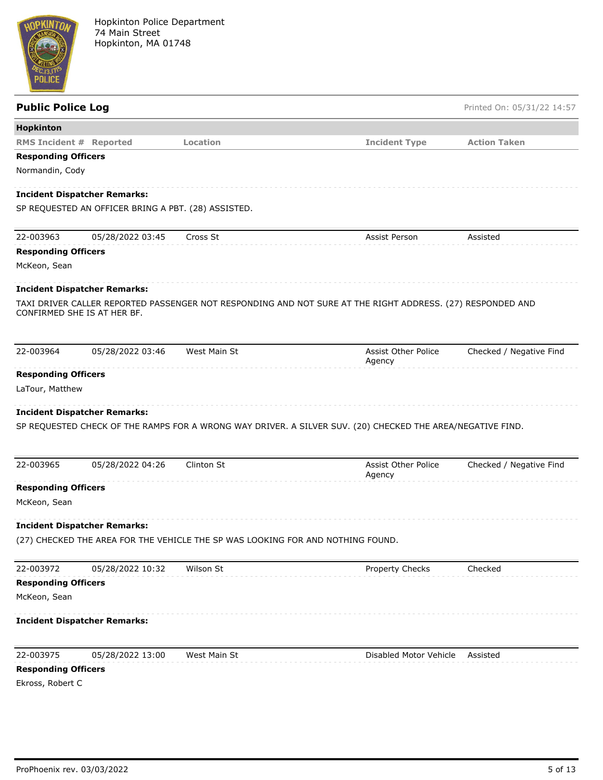

| <b>Public Police Log</b>       |                                                     |                                                                                 |                                                                                                            | Printed On: 05/31/22 14:57 |
|--------------------------------|-----------------------------------------------------|---------------------------------------------------------------------------------|------------------------------------------------------------------------------------------------------------|----------------------------|
| Hopkinton                      |                                                     |                                                                                 |                                                                                                            |                            |
| <b>RMS Incident # Reported</b> |                                                     | Location                                                                        | <b>Incident Type</b>                                                                                       | <b>Action Taken</b>        |
| <b>Responding Officers</b>     |                                                     |                                                                                 |                                                                                                            |                            |
| Normandin, Cody                |                                                     |                                                                                 |                                                                                                            |                            |
|                                | <b>Incident Dispatcher Remarks:</b>                 |                                                                                 |                                                                                                            |                            |
|                                | SP REQUESTED AN OFFICER BRING A PBT. (28) ASSISTED. |                                                                                 |                                                                                                            |                            |
| 22-003963                      | 05/28/2022 03:45                                    | Cross St                                                                        | Assist Person                                                                                              | Assisted                   |
| <b>Responding Officers</b>     |                                                     |                                                                                 |                                                                                                            |                            |
| McKeon, Sean                   |                                                     |                                                                                 |                                                                                                            |                            |
|                                | <b>Incident Dispatcher Remarks:</b>                 |                                                                                 |                                                                                                            |                            |
|                                | CONFIRMED SHE IS AT HER BF.                         |                                                                                 | TAXI DRIVER CALLER REPORTED PASSENGER NOT RESPONDING AND NOT SURE AT THE RIGHT ADDRESS. (27) RESPONDED AND |                            |
| 22-003964                      | 05/28/2022 03:46                                    | West Main St                                                                    | Assist Other Police<br>Agency                                                                              | Checked / Negative Find    |
| <b>Responding Officers</b>     |                                                     |                                                                                 |                                                                                                            |                            |
| LaTour, Matthew                |                                                     |                                                                                 |                                                                                                            |                            |
|                                |                                                     |                                                                                 |                                                                                                            |                            |
|                                | <b>Incident Dispatcher Remarks:</b>                 |                                                                                 |                                                                                                            |                            |
|                                |                                                     |                                                                                 | SP REQUESTED CHECK OF THE RAMPS FOR A WRONG WAY DRIVER. A SILVER SUV. (20) CHECKED THE AREA/NEGATIVE FIND. |                            |
| 22-003965                      | 05/28/2022 04:26                                    | Clinton St                                                                      | Assist Other Police<br>Agency                                                                              | Checked / Negative Find    |
| <b>Responding Officers</b>     |                                                     |                                                                                 |                                                                                                            |                            |
| McKeon, Sean                   |                                                     |                                                                                 |                                                                                                            |                            |
|                                | <b>Incident Dispatcher Remarks:</b>                 |                                                                                 |                                                                                                            |                            |
|                                |                                                     | (27) CHECKED THE AREA FOR THE VEHICLE THE SP WAS LOOKING FOR AND NOTHING FOUND. |                                                                                                            |                            |
| 22-003972                      | 05/28/2022 10:32                                    | Wilson St                                                                       | Property Checks                                                                                            | Checked                    |
| <b>Responding Officers</b>     |                                                     |                                                                                 |                                                                                                            |                            |
| McKeon, Sean                   |                                                     |                                                                                 |                                                                                                            |                            |
|                                | <b>Incident Dispatcher Remarks:</b>                 |                                                                                 |                                                                                                            |                            |
| 22-003975                      | 05/28/2022 13:00                                    | West Main St                                                                    | Disabled Motor Vehicle                                                                                     | Assisted                   |
| <b>Responding Officers</b>     |                                                     |                                                                                 |                                                                                                            |                            |
| Ekross, Robert C               |                                                     |                                                                                 |                                                                                                            |                            |
|                                |                                                     |                                                                                 |                                                                                                            |                            |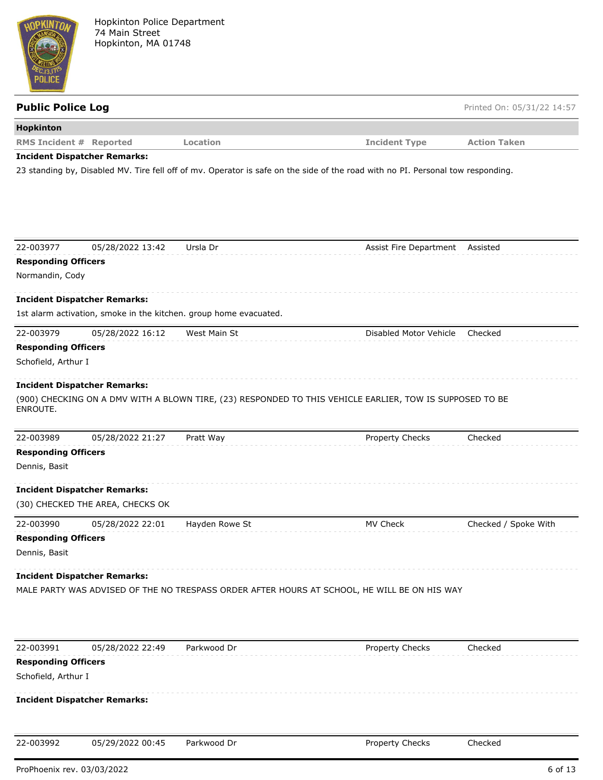

| <b>Public Police Log</b>                                          |                |                                                                                                                                 | Printed On: 05/31/22 14:57 |
|-------------------------------------------------------------------|----------------|---------------------------------------------------------------------------------------------------------------------------------|----------------------------|
| Hopkinton                                                         |                |                                                                                                                                 |                            |
| <b>RMS Incident # Reported</b>                                    | Location       | <b>Incident Type</b>                                                                                                            | <b>Action Taken</b>        |
| <b>Incident Dispatcher Remarks:</b>                               |                |                                                                                                                                 |                            |
|                                                                   |                | 23 standing by, Disabled MV. Tire fell off of mv. Operator is safe on the side of the road with no PI. Personal tow responding. |                            |
|                                                                   |                |                                                                                                                                 |                            |
|                                                                   |                |                                                                                                                                 |                            |
|                                                                   |                |                                                                                                                                 |                            |
|                                                                   |                |                                                                                                                                 |                            |
| 22-003977<br>05/28/2022 13:42                                     | Ursla Dr       | Assist Fire Department Assisted                                                                                                 |                            |
| <b>Responding Officers</b>                                        |                |                                                                                                                                 |                            |
| Normandin, Cody                                                   |                |                                                                                                                                 |                            |
| <b>Incident Dispatcher Remarks:</b>                               |                |                                                                                                                                 |                            |
| 1st alarm activation, smoke in the kitchen. group home evacuated. |                |                                                                                                                                 |                            |
| 22-003979<br>05/28/2022 16:12                                     | West Main St   | Disabled Motor Vehicle                                                                                                          | Checked                    |
| <b>Responding Officers</b>                                        |                |                                                                                                                                 |                            |
| Schofield, Arthur I                                               |                |                                                                                                                                 |                            |
|                                                                   |                |                                                                                                                                 |                            |
| <b>Incident Dispatcher Remarks:</b>                               |                |                                                                                                                                 |                            |
| ENROUTE.                                                          |                | (900) CHECKING ON A DMV WITH A BLOWN TIRE, (23) RESPONDED TO THIS VEHICLE EARLIER, TOW IS SUPPOSED TO BE                        |                            |
|                                                                   |                |                                                                                                                                 |                            |
| 22-003989<br>05/28/2022 21:27                                     | Pratt Way      | Property Checks                                                                                                                 | Checked                    |
| <b>Responding Officers</b>                                        |                |                                                                                                                                 |                            |
| Dennis, Basit                                                     |                |                                                                                                                                 |                            |
| <b>Incident Dispatcher Remarks:</b>                               |                |                                                                                                                                 |                            |
| (30) CHECKED THE AREA, CHECKS OK                                  |                |                                                                                                                                 |                            |
|                                                                   |                |                                                                                                                                 |                            |
| 22-003990<br>05/28/2022 22:01<br><b>Responding Officers</b>       | Hayden Rowe St | MV Check                                                                                                                        | Checked / Spoke With       |
|                                                                   |                |                                                                                                                                 |                            |
| Dennis, Basit                                                     |                |                                                                                                                                 |                            |
| <b>Incident Dispatcher Remarks:</b>                               |                |                                                                                                                                 |                            |
|                                                                   |                | MALE PARTY WAS ADVISED OF THE NO TRESPASS ORDER AFTER HOURS AT SCHOOL, HE WILL BE ON HIS WAY                                    |                            |
|                                                                   |                |                                                                                                                                 |                            |
|                                                                   |                |                                                                                                                                 |                            |
|                                                                   |                |                                                                                                                                 |                            |
| 22-003991<br>05/28/2022 22:49                                     | Parkwood Dr    | Property Checks                                                                                                                 | Checked                    |
| <b>Responding Officers</b>                                        |                |                                                                                                                                 |                            |
| Schofield, Arthur I                                               |                |                                                                                                                                 |                            |
| <b>Incident Dispatcher Remarks:</b>                               |                |                                                                                                                                 |                            |
|                                                                   |                |                                                                                                                                 |                            |
|                                                                   |                |                                                                                                                                 |                            |

22-003992 05/29/2022 00:45 Parkwood Dr Property Checks Checked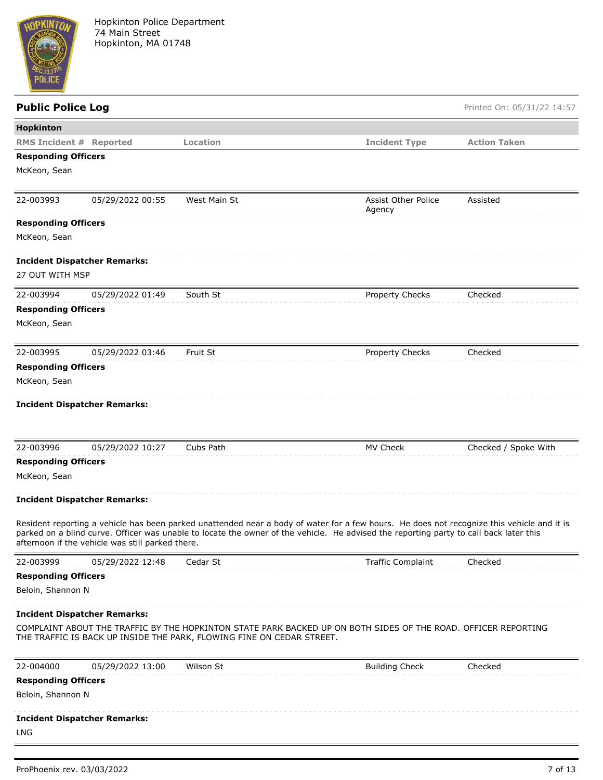

| <b>Public Police Log</b>       |                                                  |                                                                       |                                                                                                                                                                                                                                                                                      | Printed On: 05/31/22 14:57 |
|--------------------------------|--------------------------------------------------|-----------------------------------------------------------------------|--------------------------------------------------------------------------------------------------------------------------------------------------------------------------------------------------------------------------------------------------------------------------------------|----------------------------|
| Hopkinton                      |                                                  |                                                                       |                                                                                                                                                                                                                                                                                      |                            |
| <b>RMS Incident # Reported</b> |                                                  | Location                                                              | <b>Incident Type</b>                                                                                                                                                                                                                                                                 | <b>Action Taken</b>        |
| <b>Responding Officers</b>     |                                                  |                                                                       |                                                                                                                                                                                                                                                                                      |                            |
| McKeon, Sean                   |                                                  |                                                                       |                                                                                                                                                                                                                                                                                      |                            |
|                                |                                                  |                                                                       |                                                                                                                                                                                                                                                                                      |                            |
| 22-003993                      | 05/29/2022 00:55                                 | West Main St                                                          | Assist Other Police<br>Agency                                                                                                                                                                                                                                                        | Assisted                   |
| <b>Responding Officers</b>     |                                                  |                                                                       |                                                                                                                                                                                                                                                                                      |                            |
| McKeon, Sean                   |                                                  |                                                                       |                                                                                                                                                                                                                                                                                      |                            |
|                                |                                                  |                                                                       |                                                                                                                                                                                                                                                                                      |                            |
| 27 OUT WITH MSP                | <b>Incident Dispatcher Remarks:</b>              |                                                                       |                                                                                                                                                                                                                                                                                      |                            |
|                                |                                                  |                                                                       |                                                                                                                                                                                                                                                                                      |                            |
| 22-003994                      | 05/29/2022 01:49                                 | South St                                                              | <b>Property Checks</b>                                                                                                                                                                                                                                                               | Checked                    |
| <b>Responding Officers</b>     |                                                  |                                                                       |                                                                                                                                                                                                                                                                                      |                            |
| McKeon, Sean                   |                                                  |                                                                       |                                                                                                                                                                                                                                                                                      |                            |
| 22-003995                      | 05/29/2022 03:46                                 | Fruit St                                                              | Property Checks                                                                                                                                                                                                                                                                      | Checked                    |
| <b>Responding Officers</b>     |                                                  |                                                                       |                                                                                                                                                                                                                                                                                      |                            |
| McKeon, Sean                   |                                                  |                                                                       |                                                                                                                                                                                                                                                                                      |                            |
|                                |                                                  |                                                                       |                                                                                                                                                                                                                                                                                      |                            |
|                                | <b>Incident Dispatcher Remarks:</b>              |                                                                       |                                                                                                                                                                                                                                                                                      |                            |
| 22-003996                      | 05/29/2022 10:27                                 | Cubs Path                                                             | MV Check                                                                                                                                                                                                                                                                             | Checked / Spoke With       |
| <b>Responding Officers</b>     |                                                  |                                                                       |                                                                                                                                                                                                                                                                                      |                            |
| McKeon, Sean                   |                                                  |                                                                       |                                                                                                                                                                                                                                                                                      |                            |
|                                | <b>Incident Dispatcher Remarks:</b>              |                                                                       |                                                                                                                                                                                                                                                                                      |                            |
|                                | afternoon if the vehicle was still parked there. |                                                                       | Resident reporting a vehicle has been parked unattended near a body of water for a few hours. He does not recognize this vehicle and it is<br>parked on a blind curve. Officer was unable to locate the owner of the vehicle. He advised the reporting party to call back later this |                            |
| 22-003999                      | 05/29/2022 12:48                                 | Cedar St                                                              | <b>Traffic Complaint</b>                                                                                                                                                                                                                                                             | Checked                    |
| <b>Responding Officers</b>     |                                                  |                                                                       |                                                                                                                                                                                                                                                                                      |                            |
| Beloin, Shannon N              |                                                  |                                                                       |                                                                                                                                                                                                                                                                                      |                            |
|                                | <b>Incident Dispatcher Remarks:</b>              |                                                                       |                                                                                                                                                                                                                                                                                      |                            |
|                                |                                                  | THE TRAFFIC IS BACK UP INSIDE THE PARK, FLOWING FINE ON CEDAR STREET. | COMPLAINT ABOUT THE TRAFFIC BY THE HOPKINTON STATE PARK BACKED UP ON BOTH SIDES OF THE ROAD. OFFICER REPORTING                                                                                                                                                                       |                            |
| 22-004000                      | 05/29/2022 13:00                                 | Wilson St                                                             | <b>Building Check</b>                                                                                                                                                                                                                                                                | Checked                    |
| <b>Responding Officers</b>     |                                                  |                                                                       |                                                                                                                                                                                                                                                                                      |                            |
| Beloin, Shannon N              |                                                  |                                                                       |                                                                                                                                                                                                                                                                                      |                            |
|                                | <b>Incident Dispatcher Remarks:</b>              |                                                                       |                                                                                                                                                                                                                                                                                      |                            |
| LNG                            |                                                  |                                                                       |                                                                                                                                                                                                                                                                                      |                            |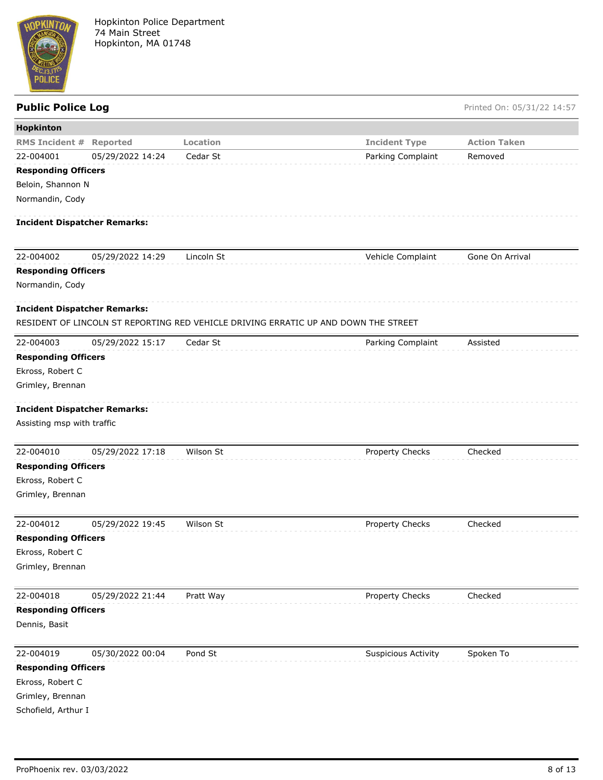

| Hopkinton                                                         |                  |                                                                                     |                            |                     |
|-------------------------------------------------------------------|------------------|-------------------------------------------------------------------------------------|----------------------------|---------------------|
| <b>RMS Incident #</b>                                             | Reported         | <b>Location</b>                                                                     | <b>Incident Type</b>       | <b>Action Taken</b> |
| 22-004001                                                         | 05/29/2022 14:24 | Cedar St                                                                            | Parking Complaint          | Removed             |
| <b>Responding Officers</b>                                        |                  |                                                                                     |                            |                     |
| Beloin, Shannon N                                                 |                  |                                                                                     |                            |                     |
| Normandin, Cody                                                   |                  |                                                                                     |                            |                     |
| <b>Incident Dispatcher Remarks:</b>                               |                  |                                                                                     |                            |                     |
| 22-004002                                                         | 05/29/2022 14:29 | Lincoln St                                                                          | Vehicle Complaint          | Gone On Arrival     |
| <b>Responding Officers</b>                                        |                  |                                                                                     |                            |                     |
| Normandin, Cody                                                   |                  |                                                                                     |                            |                     |
| <b>Incident Dispatcher Remarks:</b>                               |                  |                                                                                     |                            |                     |
|                                                                   |                  | RESIDENT OF LINCOLN ST REPORTING RED VEHICLE DRIVING ERRATIC UP AND DOWN THE STREET |                            |                     |
| 22-004003                                                         | 05/29/2022 15:17 | Cedar St                                                                            | Parking Complaint          | Assisted            |
| <b>Responding Officers</b>                                        |                  |                                                                                     |                            |                     |
| Ekross, Robert C                                                  |                  |                                                                                     |                            |                     |
| Grimley, Brennan                                                  |                  |                                                                                     |                            |                     |
| <b>Incident Dispatcher Remarks:</b><br>Assisting msp with traffic |                  |                                                                                     |                            |                     |
| 22-004010                                                         | 05/29/2022 17:18 | Wilson St                                                                           | Property Checks            | Checked             |
| <b>Responding Officers</b>                                        |                  |                                                                                     |                            |                     |
| Ekross, Robert C                                                  |                  |                                                                                     |                            |                     |
| Grimley, Brennan                                                  |                  |                                                                                     |                            |                     |
| 22-004012                                                         | 05/29/2022 19:45 | Wilson St                                                                           | Property Checks            | Checked             |
| <b>Responding Officers</b>                                        |                  |                                                                                     |                            |                     |
| Ekross, Robert C                                                  |                  |                                                                                     |                            |                     |
| Grimley, Brennan                                                  |                  |                                                                                     |                            |                     |
| 22-004018                                                         | 05/29/2022 21:44 | Pratt Way                                                                           | Property Checks            | Checked             |
| <b>Responding Officers</b>                                        |                  |                                                                                     |                            |                     |
| Dennis, Basit                                                     |                  |                                                                                     |                            |                     |
| 22-004019                                                         | 05/30/2022 00:04 | Pond St                                                                             | <b>Suspicious Activity</b> | Spoken To           |
| <b>Responding Officers</b>                                        |                  |                                                                                     |                            |                     |
| Ekross, Robert C                                                  |                  |                                                                                     |                            |                     |
| Grimley, Brennan                                                  |                  |                                                                                     |                            |                     |
| Schofield, Arthur I                                               |                  |                                                                                     |                            |                     |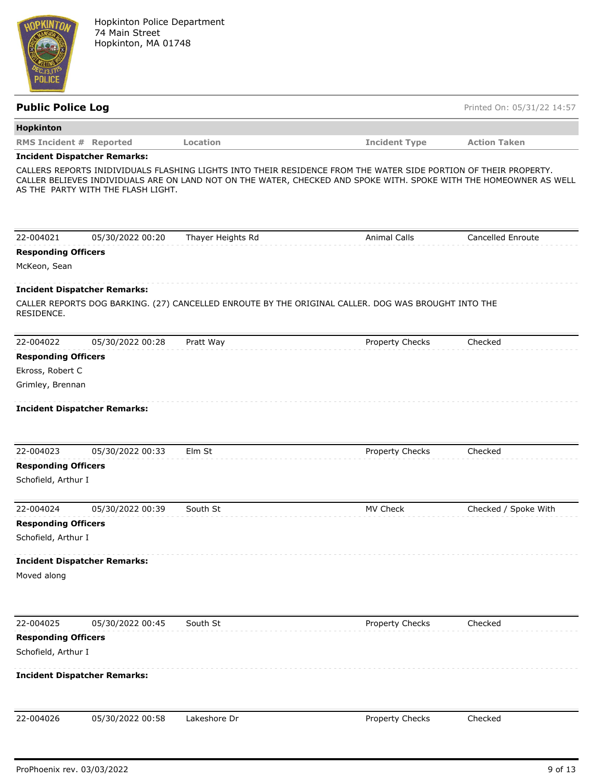

| <b>Public Police Log</b>                          |                                     |                   |                                                                                                                                                                                                                                        | Printed On: 05/31/22 14:57 |
|---------------------------------------------------|-------------------------------------|-------------------|----------------------------------------------------------------------------------------------------------------------------------------------------------------------------------------------------------------------------------------|----------------------------|
| Hopkinton                                         |                                     |                   |                                                                                                                                                                                                                                        |                            |
| <b>RMS Incident # Reported</b>                    |                                     | Location          | <b>Incident Type</b>                                                                                                                                                                                                                   | <b>Action Taken</b>        |
|                                                   | <b>Incident Dispatcher Remarks:</b> |                   |                                                                                                                                                                                                                                        |                            |
|                                                   | AS THE PARTY WITH THE FLASH LIGHT.  |                   | CALLERS REPORTS INIDIVIDUALS FLASHING LIGHTS INTO THEIR RESIDENCE FROM THE WATER SIDE PORTION OF THEIR PROPERTY.<br>CALLER BELIEVES INDIVIDUALS ARE ON LAND NOT ON THE WATER, CHECKED AND SPOKE WITH. SPOKE WITH THE HOMEOWNER AS WELL |                            |
| 22-004021                                         | 05/30/2022 00:20                    | Thayer Heights Rd | <b>Animal Calls</b>                                                                                                                                                                                                                    | <b>Cancelled Enroute</b>   |
| <b>Responding Officers</b>                        |                                     |                   |                                                                                                                                                                                                                                        |                            |
| McKeon, Sean                                      |                                     |                   |                                                                                                                                                                                                                                        |                            |
|                                                   | <b>Incident Dispatcher Remarks:</b> |                   |                                                                                                                                                                                                                                        |                            |
| RESIDENCE.                                        |                                     |                   | CALLER REPORTS DOG BARKING. (27) CANCELLED ENROUTE BY THE ORIGINAL CALLER. DOG WAS BROUGHT INTO THE                                                                                                                                    |                            |
| 22-004022                                         | 05/30/2022 00:28                    | Pratt Way         | Property Checks                                                                                                                                                                                                                        | Checked                    |
| <b>Responding Officers</b>                        |                                     |                   |                                                                                                                                                                                                                                        |                            |
| Ekross, Robert C                                  |                                     |                   |                                                                                                                                                                                                                                        |                            |
| Grimley, Brennan                                  |                                     |                   |                                                                                                                                                                                                                                        |                            |
|                                                   | <b>Incident Dispatcher Remarks:</b> |                   |                                                                                                                                                                                                                                        |                            |
| 22-004023                                         | 05/30/2022 00:33                    | Elm St            | <b>Property Checks</b>                                                                                                                                                                                                                 | Checked                    |
| <b>Responding Officers</b><br>Schofield, Arthur I |                                     |                   |                                                                                                                                                                                                                                        |                            |
| 22-004024                                         | 05/30/2022 00:39                    | South St          | MV Check                                                                                                                                                                                                                               | Checked / Spoke With       |
| <b>Responding Officers</b>                        |                                     |                   |                                                                                                                                                                                                                                        |                            |
| Schofield, Arthur I                               |                                     |                   |                                                                                                                                                                                                                                        |                            |
| Moved along                                       | <b>Incident Dispatcher Remarks:</b> |                   |                                                                                                                                                                                                                                        |                            |
| 22-004025                                         | 05/30/2022 00:45                    | South St          | Property Checks                                                                                                                                                                                                                        | Checked                    |
| <b>Responding Officers</b>                        |                                     |                   |                                                                                                                                                                                                                                        |                            |
| Schofield, Arthur I                               |                                     |                   |                                                                                                                                                                                                                                        |                            |
|                                                   | <b>Incident Dispatcher Remarks:</b> |                   |                                                                                                                                                                                                                                        |                            |
| 22-004026                                         | 05/30/2022 00:58                    | Lakeshore Dr      | Property Checks                                                                                                                                                                                                                        | Checked                    |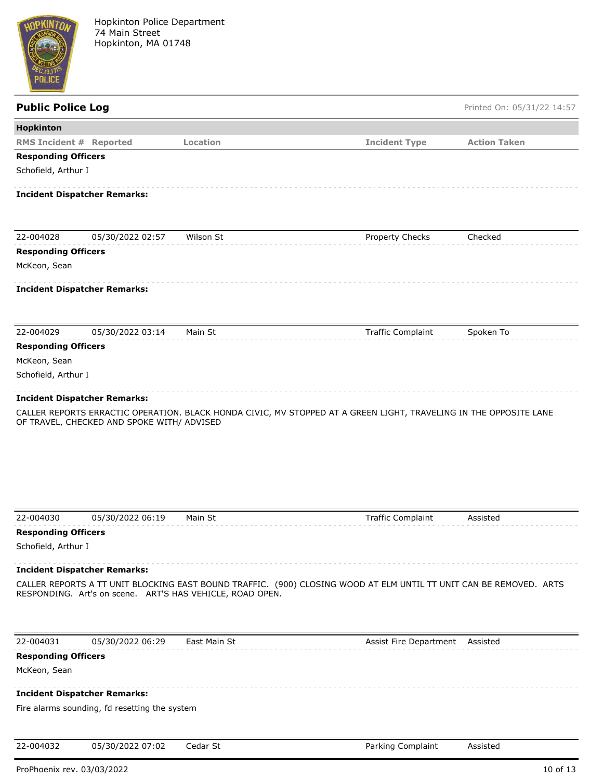

Hopkinton Police Department 74 Main Street Hopkinton, MA 01748

| <b>Public Police Log</b>                                                                                                                                                                                               |                                               |              |                          | Printed On: 05/31/22 14:57 |  |
|------------------------------------------------------------------------------------------------------------------------------------------------------------------------------------------------------------------------|-----------------------------------------------|--------------|--------------------------|----------------------------|--|
| Hopkinton                                                                                                                                                                                                              |                                               |              |                          |                            |  |
| <b>RMS Incident # Reported</b>                                                                                                                                                                                         |                                               | Location     | <b>Incident Type</b>     | <b>Action Taken</b>        |  |
| <b>Responding Officers</b>                                                                                                                                                                                             |                                               |              |                          |                            |  |
| Schofield, Arthur I                                                                                                                                                                                                    |                                               |              |                          |                            |  |
|                                                                                                                                                                                                                        | <b>Incident Dispatcher Remarks:</b>           |              |                          |                            |  |
| 22-004028                                                                                                                                                                                                              | 05/30/2022 02:57                              | Wilson St    | Property Checks          | Checked                    |  |
|                                                                                                                                                                                                                        |                                               |              |                          |                            |  |
| <b>Responding Officers</b>                                                                                                                                                                                             |                                               |              |                          |                            |  |
| McKeon, Sean                                                                                                                                                                                                           |                                               |              |                          |                            |  |
|                                                                                                                                                                                                                        | <b>Incident Dispatcher Remarks:</b>           |              |                          |                            |  |
| 22-004029                                                                                                                                                                                                              | 05/30/2022 03:14                              | Main St      | <b>Traffic Complaint</b> | Spoken To                  |  |
| <b>Responding Officers</b>                                                                                                                                                                                             |                                               |              |                          |                            |  |
| McKeon, Sean                                                                                                                                                                                                           |                                               |              |                          |                            |  |
| Schofield, Arthur I                                                                                                                                                                                                    |                                               |              |                          |                            |  |
|                                                                                                                                                                                                                        | <b>Incident Dispatcher Remarks:</b>           |              |                          |                            |  |
|                                                                                                                                                                                                                        |                                               |              |                          |                            |  |
| 22-004030                                                                                                                                                                                                              | 05/30/2022 06:19                              | Main St      | <b>Traffic Complaint</b> | Assisted                   |  |
| <b>Responding Officers</b>                                                                                                                                                                                             |                                               |              |                          |                            |  |
| Schofield, Arthur I                                                                                                                                                                                                    |                                               |              |                          |                            |  |
|                                                                                                                                                                                                                        |                                               |              |                          |                            |  |
| <b>Incident Dispatcher Remarks:</b><br>CALLER REPORTS A TT UNIT BLOCKING EAST BOUND TRAFFIC. (900) CLOSING WOOD AT ELM UNTIL TT UNIT CAN BE REMOVED. ARTS<br>RESPONDING. Art's on scene. ART'S HAS VEHICLE, ROAD OPEN. |                                               |              |                          |                            |  |
| 22-004031                                                                                                                                                                                                              | 05/30/2022 06:29                              | East Main St | Assist Fire Department   | Assisted                   |  |
| <b>Responding Officers</b>                                                                                                                                                                                             |                                               |              |                          |                            |  |
| McKeon, Sean                                                                                                                                                                                                           |                                               |              |                          |                            |  |
|                                                                                                                                                                                                                        | <b>Incident Dispatcher Remarks:</b>           |              |                          |                            |  |
|                                                                                                                                                                                                                        | Fire alarms sounding, fd resetting the system |              |                          |                            |  |
|                                                                                                                                                                                                                        |                                               |              |                          |                            |  |
| 22-004032                                                                                                                                                                                                              | 05/30/2022 07:02                              | Cedar St     | Parking Complaint        | Assisted                   |  |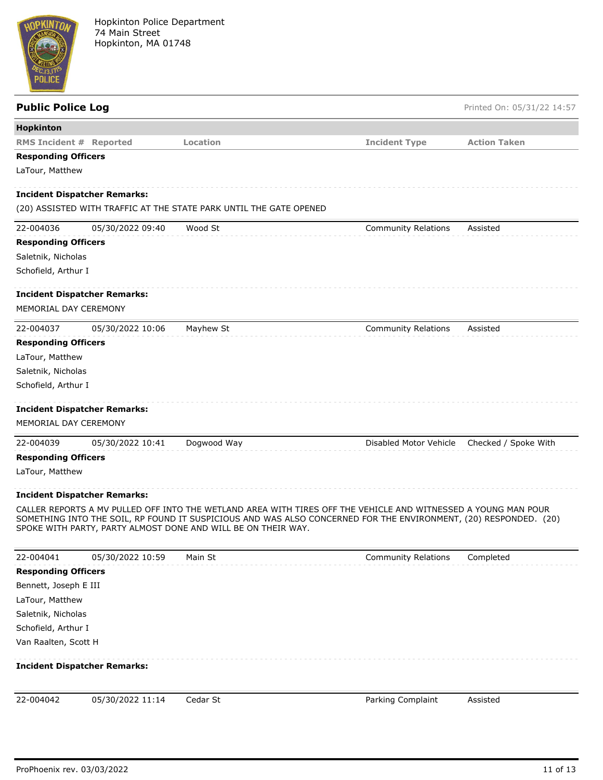

| <b>Public Police Log</b>            |                  |                                                                                                                  |                            | Printed On: 05/31/22 14:57 |
|-------------------------------------|------------------|------------------------------------------------------------------------------------------------------------------|----------------------------|----------------------------|
| Hopkinton                           |                  |                                                                                                                  |                            |                            |
| <b>RMS Incident # Reported</b>      |                  | Location                                                                                                         | <b>Incident Type</b>       | <b>Action Taken</b>        |
| <b>Responding Officers</b>          |                  |                                                                                                                  |                            |                            |
| LaTour, Matthew                     |                  |                                                                                                                  |                            |                            |
| <b>Incident Dispatcher Remarks:</b> |                  |                                                                                                                  |                            |                            |
|                                     |                  | (20) ASSISTED WITH TRAFFIC AT THE STATE PARK UNTIL THE GATE OPENED                                               |                            |                            |
| 22-004036                           | 05/30/2022 09:40 | Wood St                                                                                                          | <b>Community Relations</b> | Assisted                   |
| <b>Responding Officers</b>          |                  |                                                                                                                  |                            |                            |
| Saletnik, Nicholas                  |                  |                                                                                                                  |                            |                            |
| Schofield, Arthur I                 |                  |                                                                                                                  |                            |                            |
| <b>Incident Dispatcher Remarks:</b> |                  |                                                                                                                  |                            |                            |
| MEMORIAL DAY CEREMONY               |                  |                                                                                                                  |                            |                            |
| 22-004037                           | 05/30/2022 10:06 | Mayhew St                                                                                                        | <b>Community Relations</b> | Assisted                   |
| <b>Responding Officers</b>          |                  |                                                                                                                  |                            |                            |
| LaTour, Matthew                     |                  |                                                                                                                  |                            |                            |
| Saletnik, Nicholas                  |                  |                                                                                                                  |                            |                            |
| Schofield, Arthur I                 |                  |                                                                                                                  |                            |                            |
|                                     |                  |                                                                                                                  |                            |                            |
| <b>Incident Dispatcher Remarks:</b> |                  |                                                                                                                  |                            |                            |
| MEMORIAL DAY CEREMONY               |                  |                                                                                                                  |                            |                            |
| 22-004039                           | 05/30/2022 10:41 | Dogwood Way                                                                                                      | Disabled Motor Vehicle     | Checked / Spoke With       |
| <b>Responding Officers</b>          |                  |                                                                                                                  |                            |                            |
| LaTour, Matthew                     |                  |                                                                                                                  |                            |                            |
| <b>Incident Dispatcher Remarks:</b> |                  |                                                                                                                  |                            |                            |
|                                     |                  | CALLER REPORTS A MV PULLED OFF INTO THE WETLAND AREA WITH TIRES OFF THE VEHICLE AND WITNESSED A YOUNG MAN POUR   |                            |                            |
|                                     |                  | SOMETHING INTO THE SOIL, RP FOUND IT SUSPICIOUS AND WAS ALSO CONCERNED FOR THE ENVIRONMENT, (20) RESPONDED. (20) |                            |                            |
|                                     |                  | SPOKE WITH PARTY, PARTY ALMOST DONE AND WILL BE ON THEIR WAY.                                                    |                            |                            |
| 22-004041                           | 05/30/2022 10:59 | Main St                                                                                                          | <b>Community Relations</b> | Completed                  |
| <b>Responding Officers</b>          |                  |                                                                                                                  |                            |                            |
| Bennett, Joseph E III               |                  |                                                                                                                  |                            |                            |
| LaTour, Matthew                     |                  |                                                                                                                  |                            |                            |
| Saletnik, Nicholas                  |                  |                                                                                                                  |                            |                            |
| Schofield, Arthur I                 |                  |                                                                                                                  |                            |                            |
| Van Raalten, Scott H                |                  |                                                                                                                  |                            |                            |
|                                     |                  |                                                                                                                  |                            |                            |
| <b>Incident Dispatcher Remarks:</b> |                  |                                                                                                                  |                            |                            |
|                                     |                  |                                                                                                                  |                            |                            |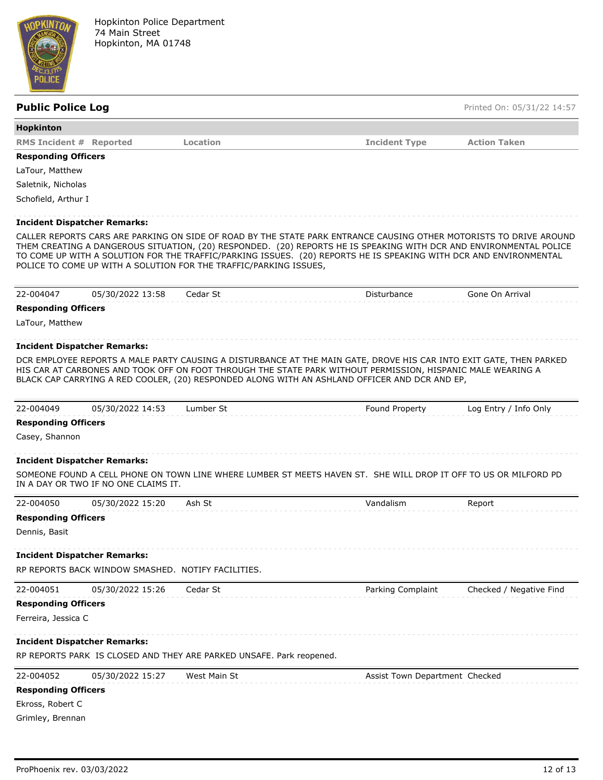

| Hopkinton                      |                                     |                                                                   |                                                                                                                                                                                                                                                                                                                                     |                     |
|--------------------------------|-------------------------------------|-------------------------------------------------------------------|-------------------------------------------------------------------------------------------------------------------------------------------------------------------------------------------------------------------------------------------------------------------------------------------------------------------------------------|---------------------|
| <b>RMS Incident # Reported</b> |                                     | Location                                                          | <b>Incident Type</b>                                                                                                                                                                                                                                                                                                                | <b>Action Taken</b> |
| <b>Responding Officers</b>     |                                     |                                                                   |                                                                                                                                                                                                                                                                                                                                     |                     |
| LaTour, Matthew                |                                     |                                                                   |                                                                                                                                                                                                                                                                                                                                     |                     |
| Saletnik, Nicholas             |                                     |                                                                   |                                                                                                                                                                                                                                                                                                                                     |                     |
| Schofield, Arthur I            |                                     |                                                                   |                                                                                                                                                                                                                                                                                                                                     |                     |
|                                |                                     |                                                                   |                                                                                                                                                                                                                                                                                                                                     |                     |
|                                | <b>Incident Dispatcher Remarks:</b> |                                                                   |                                                                                                                                                                                                                                                                                                                                     |                     |
|                                |                                     | POLICE TO COME UP WITH A SOLUTION FOR THE TRAFFIC/PARKING ISSUES, | THEM CREATING A DANGEROUS SITUATION, (20) RESPONDED. (20) REPORTS HE IS SPEAKING WITH DCR AND ENVIRONMENTAL POLICE<br>TO COME UP WITH A SOLUTION FOR THE TRAFFIC/PARKING ISSUES. (20) REPORTS HE IS SPEAKING WITH DCR AND ENVIRONMENTAL                                                                                             |                     |
| 22-004047                      | 05/30/2022 13:58                    | Cedar St                                                          | Disturbance                                                                                                                                                                                                                                                                                                                         | Gone On Arrival     |
| <b>Responding Officers</b>     |                                     |                                                                   |                                                                                                                                                                                                                                                                                                                                     |                     |
| LaTour, Matthew                |                                     |                                                                   |                                                                                                                                                                                                                                                                                                                                     |                     |
|                                | <b>Incident Dispatcher Remarks:</b> |                                                                   |                                                                                                                                                                                                                                                                                                                                     |                     |
|                                |                                     |                                                                   | DCR EMPLOYEE REPORTS A MALE PARTY CAUSING A DISTURBANCE AT THE MAIN GATE, DROVE HIS CAR INTO EXIT GATE, THEN PARKED<br>HIS CAR AT CARBONES AND TOOK OFF ON FOOT THROUGH THE STATE PARK WITHOUT PERMISSION, HISPANIC MALE WEARING A<br>BLACK CAP CARRYING A RED COOLER, (20) RESPONDED ALONG WITH AN ASHLAND OFFICER AND DCR AND EP, |                     |
|                                |                                     |                                                                   |                                                                                                                                                                                                                                                                                                                                     |                     |

# **Responding Officers**

Casey, Shannon

## **Incident Dispatcher Remarks:**

SOMEONE FOUND A CELL PHONE ON TOWN LINE WHERE LUMBER ST MEETS HAVEN ST. SHE WILL DROP IT OFF TO US OR MILFORD PD IN A DAY OR TWO IF NO ONE CLAIMS IT.

| 22-004050                                          | 05/30/2022 15:20 | Ash St   | Vandalism         | Report                  |  |  |
|----------------------------------------------------|------------------|----------|-------------------|-------------------------|--|--|
| <b>Responding Officers</b>                         |                  |          |                   |                         |  |  |
| Dennis, Basit                                      |                  |          |                   |                         |  |  |
| <b>Incident Dispatcher Remarks:</b>                |                  |          |                   |                         |  |  |
| RP REPORTS BACK WINDOW SMASHED. NOTIFY FACILITIES. |                  |          |                   |                         |  |  |
| 22-004051                                          | 05/30/2022 15:26 | Cedar St | Parking Complaint | Checked / Negative Find |  |  |
| <b>Responding Officers</b>                         |                  |          |                   |                         |  |  |

### Ferreira, Jessica C

# **Incident Dispatcher Remarks:**

RP REPORTS PARK IS CLOSED AND THEY ARE PARKED UNSAFE. Park reopened.

| 22-004052                  | 05/30/2022 15:27 | West Main St | Assist Town Department Checked |
|----------------------------|------------------|--------------|--------------------------------|
| <b>Responding Officers</b> |                  |              |                                |
| Ekross, Robert C           |                  |              |                                |

Grimley, Brennan